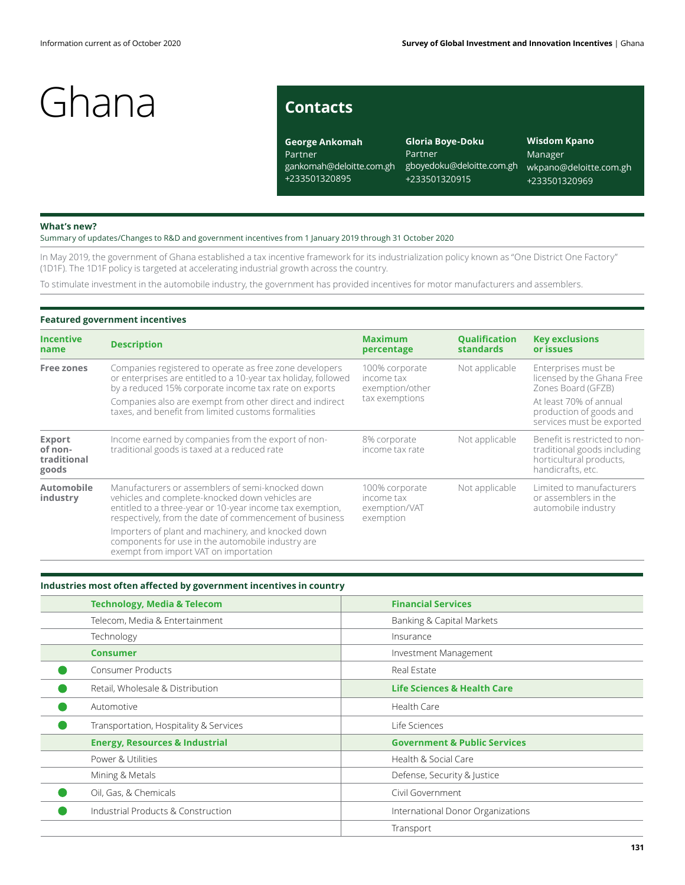# **Contacts**

**George Ankomah** Partner gankomah@deloitte.com.gh +233501320895

**Gloria Boye-Doku** Partner gboyedoku@deloitte.com.gh +233501320915

**Wisdom Kpano** Manager wkpano@deloitte.com.gh +233501320969

#### **What's new?**

Summary of updates/Changes to R&D and government incentives from 1 January 2019 through 31 October 2020

In May 2019, the government of Ghana established a tax incentive framework for its industrialization policy known as "One District One Factory" (1D1F). The 1D1F policy is targeted at accelerating industrial growth across the country.

To stimulate investment in the automobile industry, the government has provided incentives for motor manufacturers and assemblers.

## **Featured government incentives**

| <b>Incentive</b><br>name                         | <b>Description</b>                                                                                                                                                                                                          | <b>Maximum</b><br>percentage                               | <b>Qualification</b><br><b>standards</b> | <b>Key exclusions</b><br>or issues                                                                           |  |
|--------------------------------------------------|-----------------------------------------------------------------------------------------------------------------------------------------------------------------------------------------------------------------------------|------------------------------------------------------------|------------------------------------------|--------------------------------------------------------------------------------------------------------------|--|
| <b>Free zones</b>                                | Companies registered to operate as free zone developers<br>or enterprises are entitled to a 10-year tax holiday, followed<br>by a reduced 15% corporate income tax rate on exports                                          | 100% corporate<br>income tax<br>exemption/other            | Not applicable                           | Enterprises must be<br>licensed by the Ghana Free<br>Zones Board (GFZB)                                      |  |
|                                                  | Companies also are exempt from other direct and indirect<br>taxes, and benefit from limited customs formalities                                                                                                             | tax exemptions                                             |                                          | At least 70% of annual<br>production of goods and<br>services must be exported                               |  |
| <b>Export</b><br>of non-<br>traditional<br>goods | Income earned by companies from the export of non-<br>traditional goods is taxed at a reduced rate                                                                                                                          | 8% corporate<br>income tax rate                            | Not applicable                           | Benefit is restricted to non-<br>traditional goods including<br>horticultural products,<br>handicrafts, etc. |  |
| Automobile<br>industry                           | Manufacturers or assemblers of semi-knocked down<br>vehicles and complete-knocked down vehicles are<br>entitled to a three-year or 10-year income tax exemption,<br>respectively, from the date of commencement of business | 100% corporate<br>income tax<br>exemption/VAT<br>exemption | Not applicable                           | Limited to manufacturers<br>or assemblers in the<br>automobile industry                                      |  |
|                                                  | Importers of plant and machinery, and knocked down<br>components for use in the automobile industry are<br>exempt from import VAT on importation                                                                            |                                                            |                                          |                                                                                                              |  |

| Industries most often affected by government incentives in country |                                         |  |  |  |  |
|--------------------------------------------------------------------|-----------------------------------------|--|--|--|--|
| <b>Technology, Media &amp; Telecom</b>                             | <b>Financial Services</b>               |  |  |  |  |
| Telecom, Media & Entertainment                                     | Banking & Capital Markets               |  |  |  |  |
| Technology                                                         | Insurance                               |  |  |  |  |
| <b>Consumer</b>                                                    | Investment Management                   |  |  |  |  |
| <b>Consumer Products</b>                                           | Real Estate                             |  |  |  |  |
| Retail, Wholesale & Distribution                                   | <b>Life Sciences &amp; Health Care</b>  |  |  |  |  |
| Automotive                                                         | Health Care                             |  |  |  |  |
| Transportation, Hospitality & Services                             | Life Sciences                           |  |  |  |  |
| <b>Energy, Resources &amp; Industrial</b>                          | <b>Government &amp; Public Services</b> |  |  |  |  |
| Power & Utilities                                                  | Health & Social Care                    |  |  |  |  |
| Mining & Metals                                                    | Defense, Security & Justice             |  |  |  |  |
| Oil, Gas, & Chemicals                                              | Civil Government                        |  |  |  |  |
| Industrial Products & Construction                                 | International Donor Organizations       |  |  |  |  |
|                                                                    | Transport                               |  |  |  |  |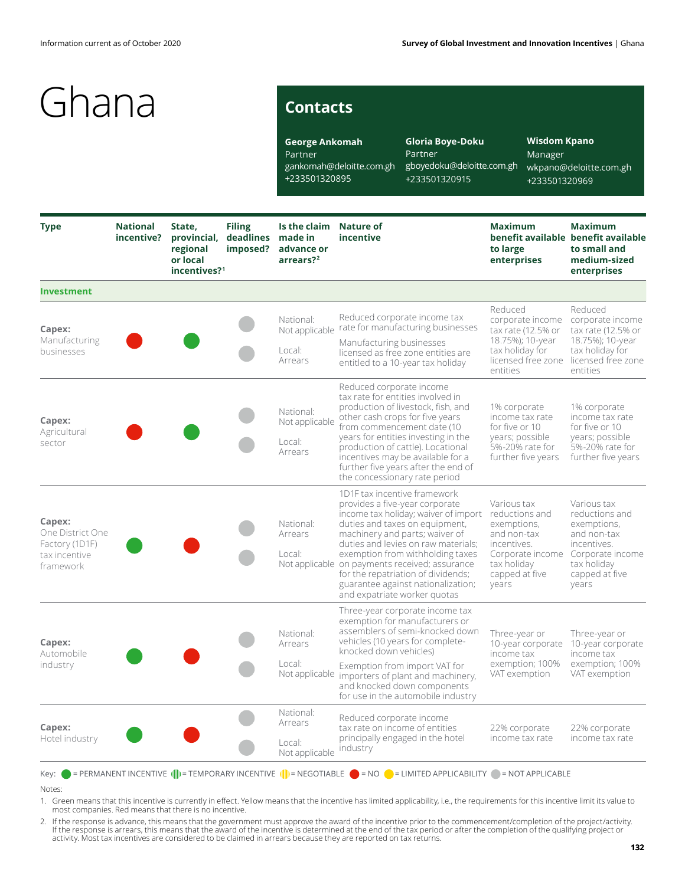# **Contacts**

**George Ankomah** Partner gankomah@deloitte.com.gh +233501320895

**Gloria Boye-Doku** Partner gboyedoku@deloitte.com.gh +233501320915

**Wisdom Kpano** Manager wkpano@deloitte.com.gh +233501320969

| <b>Type</b>                                                                | <b>National</b><br>incentive? | State,<br>provincial,<br>regional<br>or local<br>incentives? <sup>1</sup> | <b>Filing</b><br>deadlines<br>imposed? | Is the claim<br>made in<br>advance or<br>arrears? <sup>2</sup> | <b>Nature of</b><br>incentive                                                                                                                                                                                                                                                                                                                                                                                                      | <b>Maximum</b><br>to large<br>enterprises                                                                                     | <b>Maximum</b><br>benefit available benefit available<br>to small and<br>medium-sized<br>enterprises                                     |
|----------------------------------------------------------------------------|-------------------------------|---------------------------------------------------------------------------|----------------------------------------|----------------------------------------------------------------|------------------------------------------------------------------------------------------------------------------------------------------------------------------------------------------------------------------------------------------------------------------------------------------------------------------------------------------------------------------------------------------------------------------------------------|-------------------------------------------------------------------------------------------------------------------------------|------------------------------------------------------------------------------------------------------------------------------------------|
| <b>Investment</b>                                                          |                               |                                                                           |                                        |                                                                |                                                                                                                                                                                                                                                                                                                                                                                                                                    |                                                                                                                               |                                                                                                                                          |
| Capex:<br>Manufacturing<br>businesses                                      |                               |                                                                           |                                        | National:<br>Local:<br>Arrears                                 | Reduced corporate income tax<br>Not applicable rate for manufacturing businesses<br>Manufacturing businesses<br>licensed as free zone entities are<br>entitled to a 10-year tax holiday                                                                                                                                                                                                                                            | Reduced<br>corporate income<br>tax rate $(12.5\%$ or<br>18.75%); 10-year<br>tax holiday for<br>licensed free zone<br>entities | Reduced<br>corporate income<br>tax rate $(12.5\%$ or<br>18.75%); 10-year<br>tax holiday for<br>licensed free zone<br>entities            |
| Capex:<br>Agricultural<br>sector                                           |                               |                                                                           |                                        | National:<br>Not applicable<br>Local:<br>Arrears               | Reduced corporate income<br>tax rate for entities involved in<br>production of livestock, fish, and<br>other cash crops for five years<br>from commencement date (10<br>years for entities investing in the<br>production of cattle). Locational<br>incentives may be available for a<br>further five years after the end of<br>the concessionary rate period                                                                      | 1% corporate<br>income tax rate<br>for five or 10<br>years; possible<br>5%-20% rate for<br>further five years                 | 1% corporate<br>income tax rate<br>for five or 10<br>years; possible<br>5%-20% rate for<br>further five years                            |
| Capex:<br>One District One<br>Factory (1D1F)<br>tax incentive<br>framework |                               |                                                                           |                                        | National:<br>Arrears<br>Local:                                 | 1D1F tax incentive framework<br>provides a five-year corporate<br>income tax holiday; waiver of import reductions and<br>duties and taxes on equipment,<br>machinery and parts; waiver of<br>duties and levies on raw materials;<br>exemption from withholding taxes<br>Not applicable on payments received; assurance<br>for the repatriation of dividends;<br>guarantee against nationalization;<br>and expatriate worker quotas | Various tax<br>exemptions,<br>and non-tax<br>incentives.<br>Corporate income<br>tax holiday<br>capped at five<br>years        | Various tax<br>reductions and<br>exemptions,<br>and non-tax<br>incentives.<br>Corporate income<br>tax holiday<br>capped at five<br>years |
| Capex:<br>Automobile<br>industry                                           |                               |                                                                           |                                        | National:<br>Arrears<br>Local:<br>Not applicable               | Three-year corporate income tax<br>exemption for manufacturers or<br>assemblers of semi-knocked down<br>vehicles (10 years for complete-<br>knocked down vehicles)<br>Exemption from import VAT for<br>importers of plant and machinery,                                                                                                                                                                                           | Three-year or<br>income tax<br>exemption; 100%<br>VAT exemption                                                               | Three-year or<br>10-year corporate 10-year corporate<br>income tax<br>exemption; 100%<br>VAT exemption                                   |
|                                                                            |                               |                                                                           |                                        |                                                                | and knocked down components<br>for use in the automobile industry                                                                                                                                                                                                                                                                                                                                                                  |                                                                                                                               |                                                                                                                                          |
| Capex:<br>Hotel industry                                                   |                               |                                                                           |                                        | National:<br>Arrears                                           | Reduced corporate income<br>tax rate on income of entities                                                                                                                                                                                                                                                                                                                                                                         | 22% corporate                                                                                                                 | 22% corporate<br>income tax rate                                                                                                         |
|                                                                            |                               |                                                                           |                                        | Local:<br>Not applicable                                       | principally engaged in the hotel<br>industry                                                                                                                                                                                                                                                                                                                                                                                       | income tax rate                                                                                                               |                                                                                                                                          |

Notes:

1. Green means that this incentive is currently in effect. Yellow means that the incentive has limited applicability, i.e., the requirements for this incentive limit its value to most companies. Red means that there is no incentive.

. If the response is advance, this means that the government must approve the award of the incentive prior to the commencement/completion of the project/activity.<br>If the response is arrears, this means that the award of th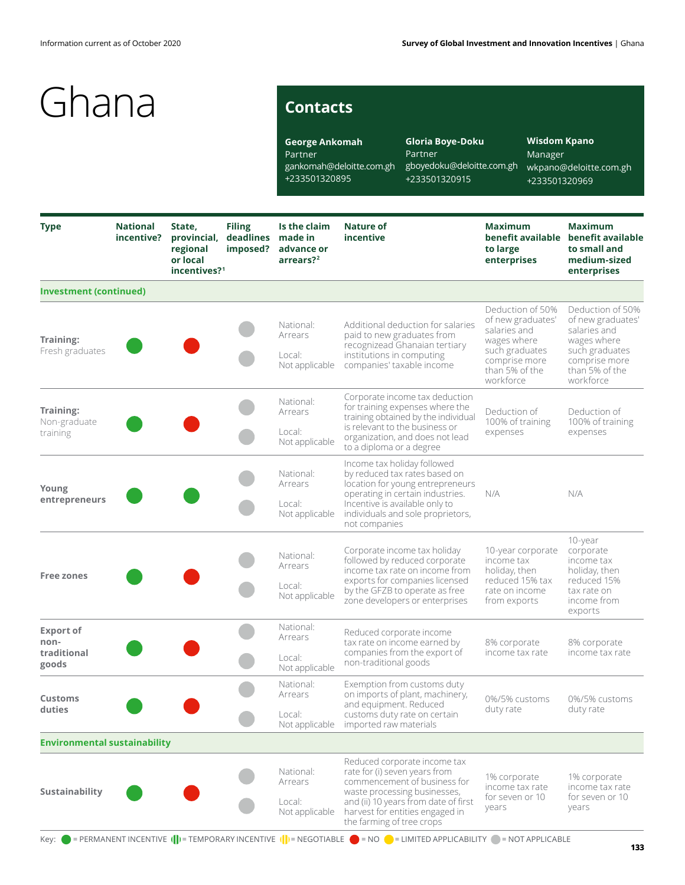# **Contacts**

**George Ankomah** Partner gankomah@deloitte.com.gh gboyedoku@deloitte.com.gh +233501320895 **Gloria Boye-Doku** Partner +233501320915

**Wisdom Kpano** Manager wkpano@deloitte.com.gh +233501320969

| <b>Type</b>                                      | <b>National</b><br>incentive? | State,<br>provincial,<br>regional<br>or local<br>incentives? <sup>1</sup> | <b>Filing</b><br>deadlines made in<br>imposed?   | Is the claim<br>advance or<br>arrears? <sup>2</sup>                                                                                                        | <b>Nature of</b><br>incentive                                                                                                                                                                                                         | <b>Maximum</b><br>to large<br>enterprises                                                                                              | <b>Maximum</b><br>benefit available benefit available<br>to small and<br>medium-sized<br>enterprises        |
|--------------------------------------------------|-------------------------------|---------------------------------------------------------------------------|--------------------------------------------------|------------------------------------------------------------------------------------------------------------------------------------------------------------|---------------------------------------------------------------------------------------------------------------------------------------------------------------------------------------------------------------------------------------|----------------------------------------------------------------------------------------------------------------------------------------|-------------------------------------------------------------------------------------------------------------|
| <b>Investment (continued)</b>                    |                               |                                                                           |                                                  |                                                                                                                                                            |                                                                                                                                                                                                                                       |                                                                                                                                        |                                                                                                             |
| Training:<br>Fresh graduates                     |                               |                                                                           | National:<br>Arrears<br>Local:<br>Not applicable | Additional deduction for salaries<br>paid to new graduates from<br>recognizead Ghanaian tertiary<br>institutions in computing<br>companies' taxable income | Deduction of 50%<br>of new graduates'<br>salaries and<br>wages where<br>such graduates<br>comprise more<br>than 5% of the<br>workforce                                                                                                | Deduction of 50%<br>of new graduates'<br>salaries and<br>wages where<br>such graduates<br>comprise more<br>than 5% of the<br>workforce |                                                                                                             |
| Training:<br>Non-graduate<br>training            |                               |                                                                           |                                                  | National:<br>Arrears<br>Local:<br>Not applicable                                                                                                           | Corporate income tax deduction<br>for training expenses where the<br>training obtained by the individual<br>is relevant to the business or<br>organization, and does not lead<br>to a diploma or a degree                             | Deduction of<br>100% of training<br>expenses                                                                                           | Deduction of<br>100% of training<br>expenses                                                                |
| Young<br>entrepreneurs                           |                               |                                                                           |                                                  | National:<br>Arrears<br>Local:<br>Not applicable                                                                                                           | Income tax holiday followed<br>by reduced tax rates based on<br>location for young entrepreneurs<br>operating in certain industries.<br>Incentive is available only to<br>individuals and sole proprietors,<br>not companies          | N/A                                                                                                                                    | N/A                                                                                                         |
| <b>Free zones</b>                                |                               |                                                                           |                                                  | National:<br>Arrears<br>Local:<br>Not applicable                                                                                                           | Corporate income tax holiday<br>followed by reduced corporate<br>income tax rate on income from<br>exports for companies licensed<br>by the GFZB to operate as free<br>zone developers or enterprises                                 | 10-year corporate<br>income tax<br>holiday, then<br>reduced 15% tax<br>rate on income<br>from exports                                  | 10-year<br>corporate<br>income tax<br>holiday, then<br>reduced 15%<br>tax rate on<br>income from<br>exports |
| <b>Export of</b><br>non-<br>traditional<br>goods |                               |                                                                           |                                                  | National:<br>Arrears<br>Local:<br>Not applicable                                                                                                           | Reduced corporate income<br>tax rate on income earned by<br>companies from the export of<br>non-traditional goods                                                                                                                     | 8% corporate<br>income tax rate                                                                                                        | 8% corporate<br>income tax rate                                                                             |
| <b>Customs</b><br>duties                         |                               |                                                                           |                                                  | National:<br>Arrears<br>Local:                                                                                                                             | Exemption from customs duty<br>on imports of plant, machinery,<br>and equipment. Reduced<br>customs duty rate on certain<br>Not applicable imported raw materials                                                                     | 0%/5% customs<br>duty rate                                                                                                             | 0%/5% customs<br>duty rate                                                                                  |
| <b>Environmental sustainability</b>              |                               |                                                                           |                                                  |                                                                                                                                                            |                                                                                                                                                                                                                                       |                                                                                                                                        |                                                                                                             |
| Sustainability                                   |                               |                                                                           |                                                  | National:<br>Arrears<br>Local:<br>Not applicable                                                                                                           | Reduced corporate income tax<br>rate for (i) seven years from<br>commencement of business for<br>waste processing businesses,<br>and (ii) 10 years from date of first<br>harvest for entities engaged in<br>the farming of tree crops | 1% corporate<br>income tax rate<br>for seven or 10<br>years                                                                            | 1% corporate<br>income tax rate<br>for seven or 10<br>years                                                 |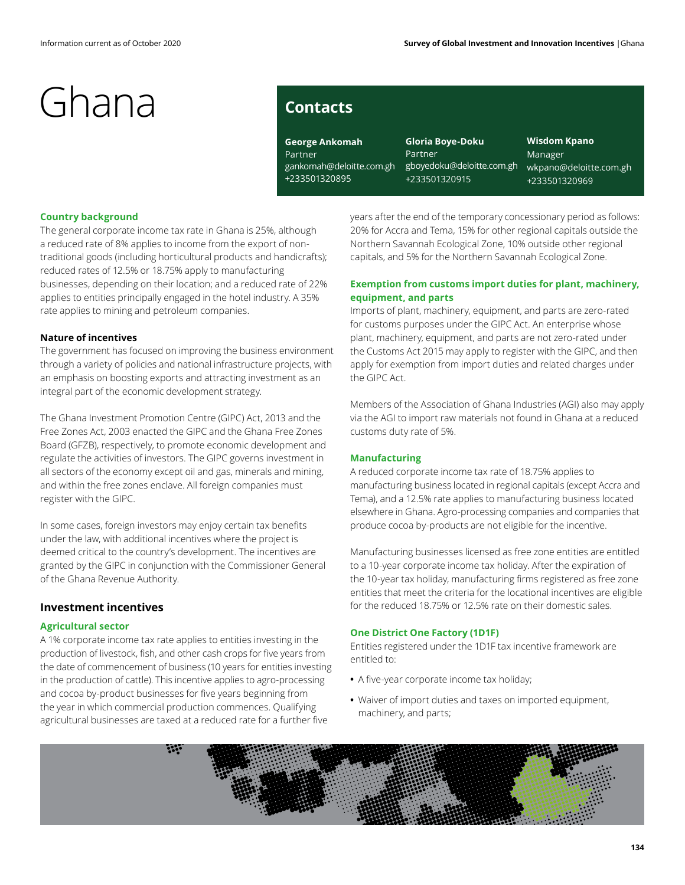# **Contacts**

**George Ankomah** Partner gankomah@deloitte.com.gh +233501320895

**Gloria Boye-Doku** Partner gboyedoku@deloitte.com.gh +233501320915

**Wisdom Kpano** Manager wkpano@deloitte.com.gh +233501320969

## **Country background**

The general corporate income tax rate in Ghana is 25%, although a reduced rate of 8% applies to income from the export of nontraditional goods (including horticultural products and handicrafts); reduced rates of 12.5% or 18.75% apply to manufacturing businesses, depending on their location; and a reduced rate of 22% applies to entities principally engaged in the hotel industry. A 35% rate applies to mining and petroleum companies.

## **Nature of incentives**

The government has focused on improving the business environment through a variety of policies and national infrastructure projects, with an emphasis on boosting exports and attracting investment as an integral part of the economic development strategy.

The Ghana Investment Promotion Centre (GIPC) Act, 2013 and the Free Zones Act, 2003 enacted the GIPC and the Ghana Free Zones Board (GFZB), respectively, to promote economic development and regulate the activities of investors. The GIPC governs investment in all sectors of the economy except oil and gas, minerals and mining, and within the free zones enclave. All foreign companies must register with the GIPC.

In some cases, foreign investors may enjoy certain tax benefits under the law, with additional incentives where the project is deemed critical to the country's development. The incentives are granted by the GIPC in conjunction with the Commissioner General of the Ghana Revenue Authority.

### **Investment incentives**

### **Agricultural sector**

A 1% corporate income tax rate applies to entities investing in the production of livestock, fish, and other cash crops for five years from the date of commencement of business (10 years for entities investing in the production of cattle). This incentive applies to agro-processing and cocoa by-product businesses for five years beginning from the year in which commercial production commences. Qualifying agricultural businesses are taxed at a reduced rate for a further five

years after the end of the temporary concessionary period as follows: 20% for Accra and Tema, 15% for other regional capitals outside the Northern Savannah Ecological Zone, 10% outside other regional capitals, and 5% for the Northern Savannah Ecological Zone.

## **Exemption from customs import duties for plant, machinery, equipment, and parts**

Imports of plant, machinery, equipment, and parts are zero-rated for customs purposes under the GIPC Act. An enterprise whose plant, machinery, equipment, and parts are not zero-rated under the Customs Act 2015 may apply to register with the GIPC, and then apply for exemption from import duties and related charges under the GIPC Act.

Members of the Association of Ghana Industries (AGI) also may apply via the AGI to import raw materials not found in Ghana at a reduced customs duty rate of 5%.

## **Manufacturing**

A reduced corporate income tax rate of 18.75% applies to manufacturing business located in regional capitals (except Accra and Tema), and a 12.5% rate applies to manufacturing business located elsewhere in Ghana. Agro-processing companies and companies that produce cocoa by-products are not eligible for the incentive.

Manufacturing businesses licensed as free zone entities are entitled to a 10-year corporate income tax holiday. After the expiration of the 10-year tax holiday, manufacturing firms registered as free zone entities that meet the criteria for the locational incentives are eligible for the reduced 18.75% or 12.5% rate on their domestic sales.

### **One District One Factory (1D1F)**

Entities registered under the 1D1F tax incentive framework are entitled to:

- **•** A five-year corporate income tax holiday;
- **•** Waiver of import duties and taxes on imported equipment, machinery, and parts;